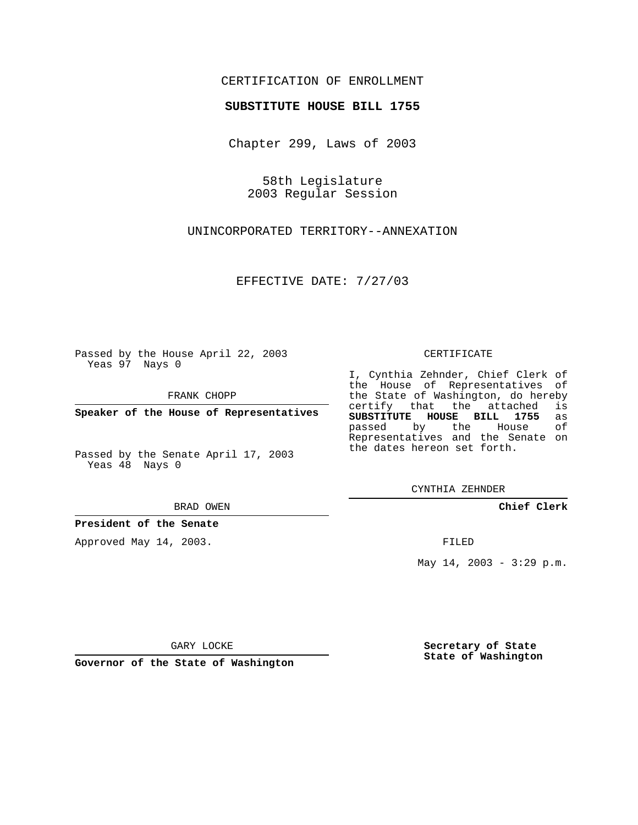## CERTIFICATION OF ENROLLMENT

### **SUBSTITUTE HOUSE BILL 1755**

Chapter 299, Laws of 2003

58th Legislature 2003 Regular Session

UNINCORPORATED TERRITORY--ANNEXATION

EFFECTIVE DATE: 7/27/03

Passed by the House April 22, 2003 Yeas 97 Nays 0

FRANK CHOPP

**Speaker of the House of Representatives**

Passed by the Senate April 17, 2003 Yeas 48 Nays 0

#### BRAD OWEN

**President of the Senate**

Approved May 14, 2003.

#### CERTIFICATE

I, Cynthia Zehnder, Chief Clerk of the House of Representatives of the State of Washington, do hereby<br>certify that the attached is certify that the attached **SUBSTITUTE HOUSE BILL 1755** as passed by the Representatives and the Senate on the dates hereon set forth.

CYNTHIA ZEHNDER

**Chief Clerk**

FILED

May 14, 2003 - 3:29 p.m.

GARY LOCKE

**Governor of the State of Washington**

**Secretary of State State of Washington**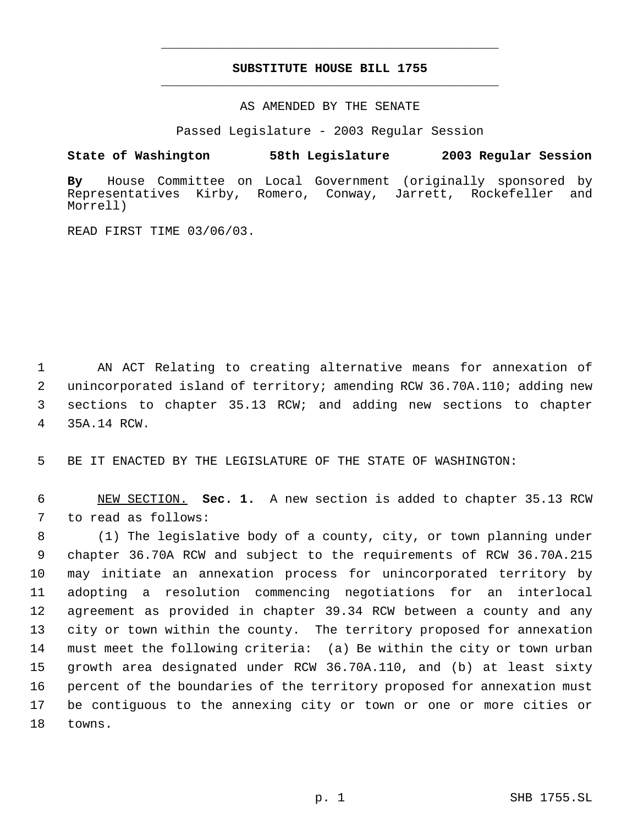# **SUBSTITUTE HOUSE BILL 1755** \_\_\_\_\_\_\_\_\_\_\_\_\_\_\_\_\_\_\_\_\_\_\_\_\_\_\_\_\_\_\_\_\_\_\_\_\_\_\_\_\_\_\_\_\_

\_\_\_\_\_\_\_\_\_\_\_\_\_\_\_\_\_\_\_\_\_\_\_\_\_\_\_\_\_\_\_\_\_\_\_\_\_\_\_\_\_\_\_\_\_

### AS AMENDED BY THE SENATE

Passed Legislature - 2003 Regular Session

## **State of Washington 58th Legislature 2003 Regular Session**

**By** House Committee on Local Government (originally sponsored by Representatives Kirby, Romero, Conway, Jarrett, Rockefeller and Morrell)

READ FIRST TIME 03/06/03.

 AN ACT Relating to creating alternative means for annexation of unincorporated island of territory; amending RCW 36.70A.110; adding new sections to chapter 35.13 RCW; and adding new sections to chapter 35A.14 RCW.

BE IT ENACTED BY THE LEGISLATURE OF THE STATE OF WASHINGTON:

 NEW SECTION. **Sec. 1.** A new section is added to chapter 35.13 RCW to read as follows:

 (1) The legislative body of a county, city, or town planning under chapter 36.70A RCW and subject to the requirements of RCW 36.70A.215 may initiate an annexation process for unincorporated territory by adopting a resolution commencing negotiations for an interlocal agreement as provided in chapter 39.34 RCW between a county and any city or town within the county. The territory proposed for annexation must meet the following criteria: (a) Be within the city or town urban growth area designated under RCW 36.70A.110, and (b) at least sixty percent of the boundaries of the territory proposed for annexation must be contiguous to the annexing city or town or one or more cities or towns.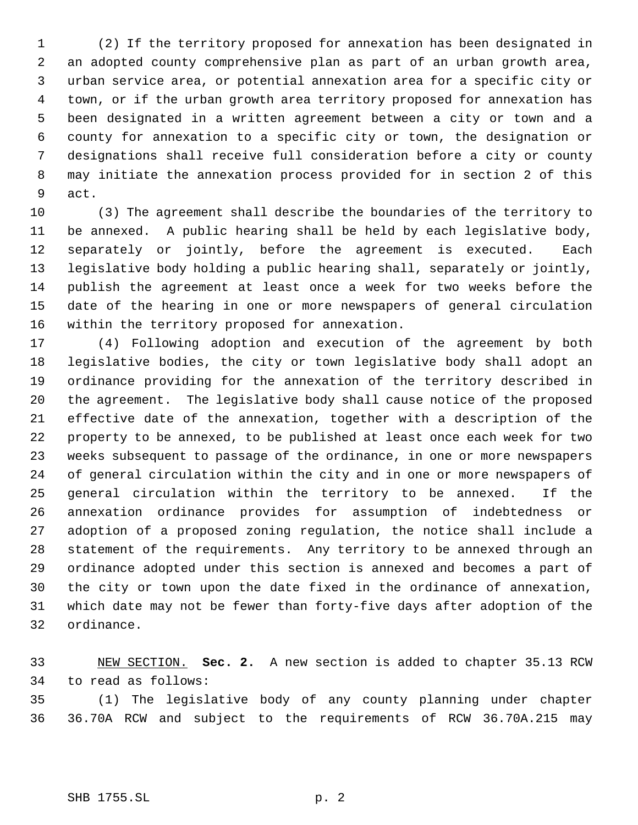(2) If the territory proposed for annexation has been designated in an adopted county comprehensive plan as part of an urban growth area, urban service area, or potential annexation area for a specific city or town, or if the urban growth area territory proposed for annexation has been designated in a written agreement between a city or town and a county for annexation to a specific city or town, the designation or designations shall receive full consideration before a city or county may initiate the annexation process provided for in section 2 of this act.

 (3) The agreement shall describe the boundaries of the territory to be annexed. A public hearing shall be held by each legislative body, separately or jointly, before the agreement is executed. Each legislative body holding a public hearing shall, separately or jointly, publish the agreement at least once a week for two weeks before the date of the hearing in one or more newspapers of general circulation within the territory proposed for annexation.

 (4) Following adoption and execution of the agreement by both legislative bodies, the city or town legislative body shall adopt an ordinance providing for the annexation of the territory described in the agreement. The legislative body shall cause notice of the proposed effective date of the annexation, together with a description of the property to be annexed, to be published at least once each week for two weeks subsequent to passage of the ordinance, in one or more newspapers of general circulation within the city and in one or more newspapers of general circulation within the territory to be annexed. If the annexation ordinance provides for assumption of indebtedness or adoption of a proposed zoning regulation, the notice shall include a statement of the requirements. Any territory to be annexed through an ordinance adopted under this section is annexed and becomes a part of the city or town upon the date fixed in the ordinance of annexation, which date may not be fewer than forty-five days after adoption of the ordinance.

 NEW SECTION. **Sec. 2.** A new section is added to chapter 35.13 RCW to read as follows:

 (1) The legislative body of any county planning under chapter 36.70A RCW and subject to the requirements of RCW 36.70A.215 may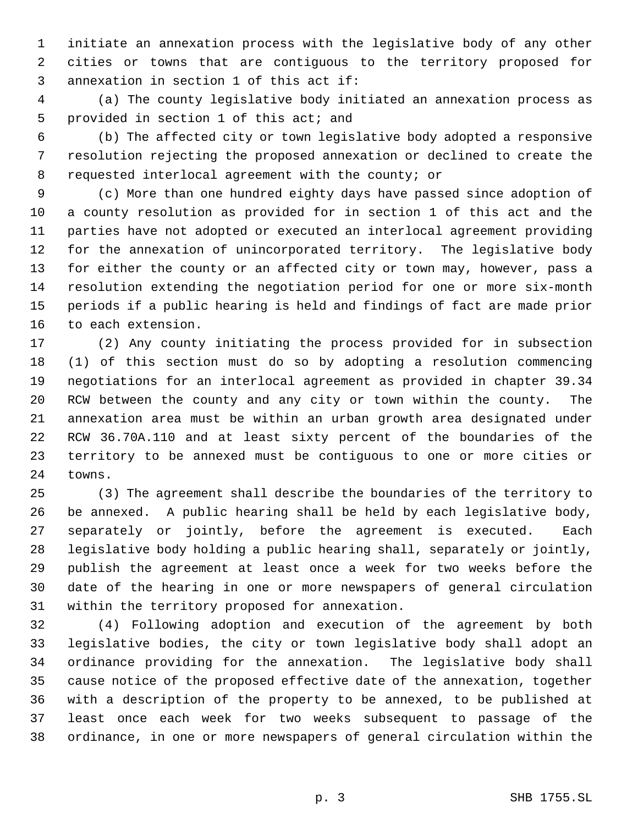initiate an annexation process with the legislative body of any other cities or towns that are contiguous to the territory proposed for annexation in section 1 of this act if:

 (a) The county legislative body initiated an annexation process as provided in section 1 of this act; and

 (b) The affected city or town legislative body adopted a responsive resolution rejecting the proposed annexation or declined to create the requested interlocal agreement with the county; or

 (c) More than one hundred eighty days have passed since adoption of a county resolution as provided for in section 1 of this act and the parties have not adopted or executed an interlocal agreement providing for the annexation of unincorporated territory. The legislative body for either the county or an affected city or town may, however, pass a resolution extending the negotiation period for one or more six-month periods if a public hearing is held and findings of fact are made prior to each extension.

 (2) Any county initiating the process provided for in subsection (1) of this section must do so by adopting a resolution commencing negotiations for an interlocal agreement as provided in chapter 39.34 RCW between the county and any city or town within the county. The annexation area must be within an urban growth area designated under RCW 36.70A.110 and at least sixty percent of the boundaries of the territory to be annexed must be contiguous to one or more cities or towns.

 (3) The agreement shall describe the boundaries of the territory to be annexed. A public hearing shall be held by each legislative body, separately or jointly, before the agreement is executed. Each legislative body holding a public hearing shall, separately or jointly, publish the agreement at least once a week for two weeks before the date of the hearing in one or more newspapers of general circulation within the territory proposed for annexation.

 (4) Following adoption and execution of the agreement by both legislative bodies, the city or town legislative body shall adopt an ordinance providing for the annexation. The legislative body shall cause notice of the proposed effective date of the annexation, together with a description of the property to be annexed, to be published at least once each week for two weeks subsequent to passage of the ordinance, in one or more newspapers of general circulation within the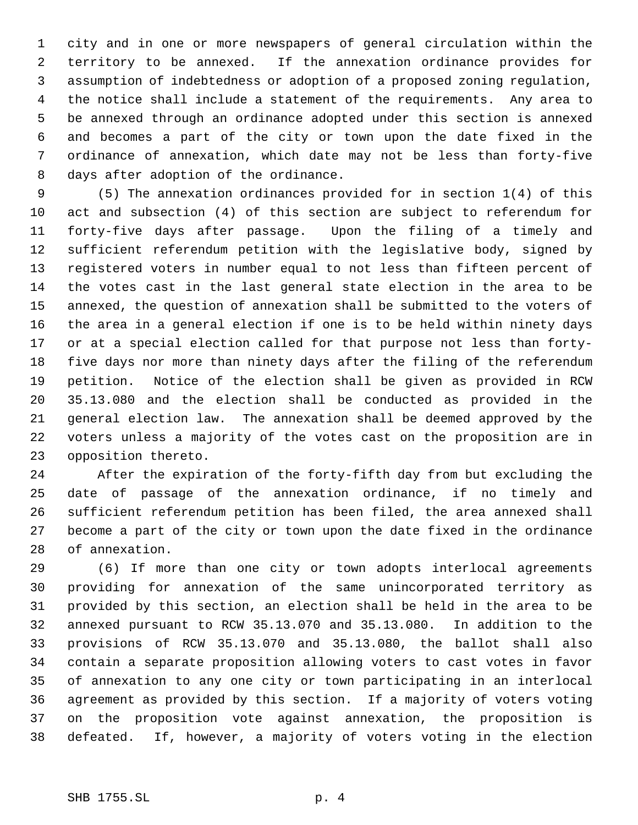city and in one or more newspapers of general circulation within the territory to be annexed. If the annexation ordinance provides for assumption of indebtedness or adoption of a proposed zoning regulation, the notice shall include a statement of the requirements. Any area to be annexed through an ordinance adopted under this section is annexed and becomes a part of the city or town upon the date fixed in the ordinance of annexation, which date may not be less than forty-five days after adoption of the ordinance.

 (5) The annexation ordinances provided for in section 1(4) of this act and subsection (4) of this section are subject to referendum for forty-five days after passage. Upon the filing of a timely and sufficient referendum petition with the legislative body, signed by registered voters in number equal to not less than fifteen percent of the votes cast in the last general state election in the area to be annexed, the question of annexation shall be submitted to the voters of the area in a general election if one is to be held within ninety days or at a special election called for that purpose not less than forty- five days nor more than ninety days after the filing of the referendum petition. Notice of the election shall be given as provided in RCW 35.13.080 and the election shall be conducted as provided in the general election law. The annexation shall be deemed approved by the voters unless a majority of the votes cast on the proposition are in opposition thereto.

 After the expiration of the forty-fifth day from but excluding the date of passage of the annexation ordinance, if no timely and sufficient referendum petition has been filed, the area annexed shall become a part of the city or town upon the date fixed in the ordinance of annexation.

 (6) If more than one city or town adopts interlocal agreements providing for annexation of the same unincorporated territory as provided by this section, an election shall be held in the area to be annexed pursuant to RCW 35.13.070 and 35.13.080. In addition to the provisions of RCW 35.13.070 and 35.13.080, the ballot shall also contain a separate proposition allowing voters to cast votes in favor of annexation to any one city or town participating in an interlocal agreement as provided by this section. If a majority of voters voting on the proposition vote against annexation, the proposition is defeated. If, however, a majority of voters voting in the election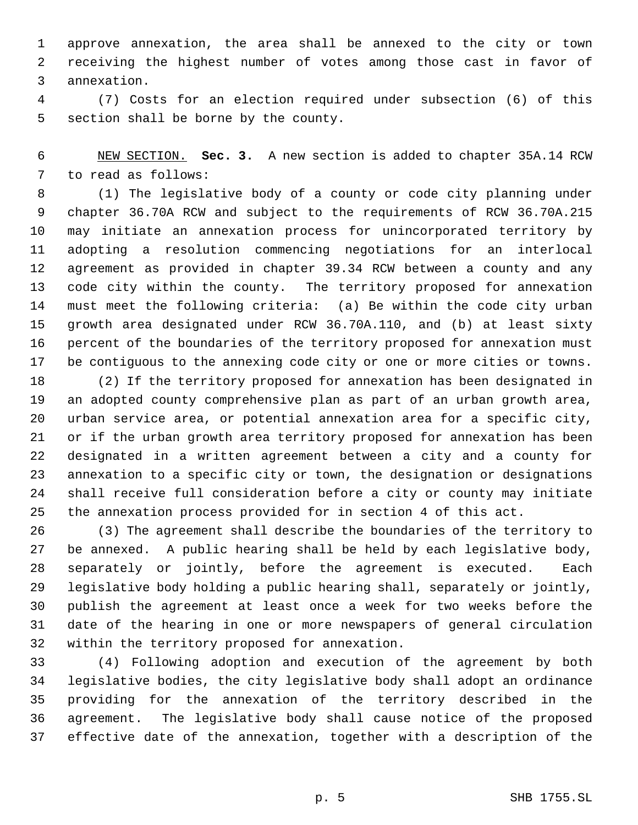approve annexation, the area shall be annexed to the city or town receiving the highest number of votes among those cast in favor of annexation.

 (7) Costs for an election required under subsection (6) of this section shall be borne by the county.

 NEW SECTION. **Sec. 3.** A new section is added to chapter 35A.14 RCW to read as follows:

 (1) The legislative body of a county or code city planning under chapter 36.70A RCW and subject to the requirements of RCW 36.70A.215 may initiate an annexation process for unincorporated territory by adopting a resolution commencing negotiations for an interlocal agreement as provided in chapter 39.34 RCW between a county and any code city within the county. The territory proposed for annexation must meet the following criteria: (a) Be within the code city urban growth area designated under RCW 36.70A.110, and (b) at least sixty percent of the boundaries of the territory proposed for annexation must be contiguous to the annexing code city or one or more cities or towns.

 (2) If the territory proposed for annexation has been designated in an adopted county comprehensive plan as part of an urban growth area, urban service area, or potential annexation area for a specific city, or if the urban growth area territory proposed for annexation has been designated in a written agreement between a city and a county for annexation to a specific city or town, the designation or designations shall receive full consideration before a city or county may initiate the annexation process provided for in section 4 of this act.

 (3) The agreement shall describe the boundaries of the territory to be annexed. A public hearing shall be held by each legislative body, separately or jointly, before the agreement is executed. Each legislative body holding a public hearing shall, separately or jointly, publish the agreement at least once a week for two weeks before the date of the hearing in one or more newspapers of general circulation within the territory proposed for annexation.

 (4) Following adoption and execution of the agreement by both legislative bodies, the city legislative body shall adopt an ordinance providing for the annexation of the territory described in the agreement. The legislative body shall cause notice of the proposed effective date of the annexation, together with a description of the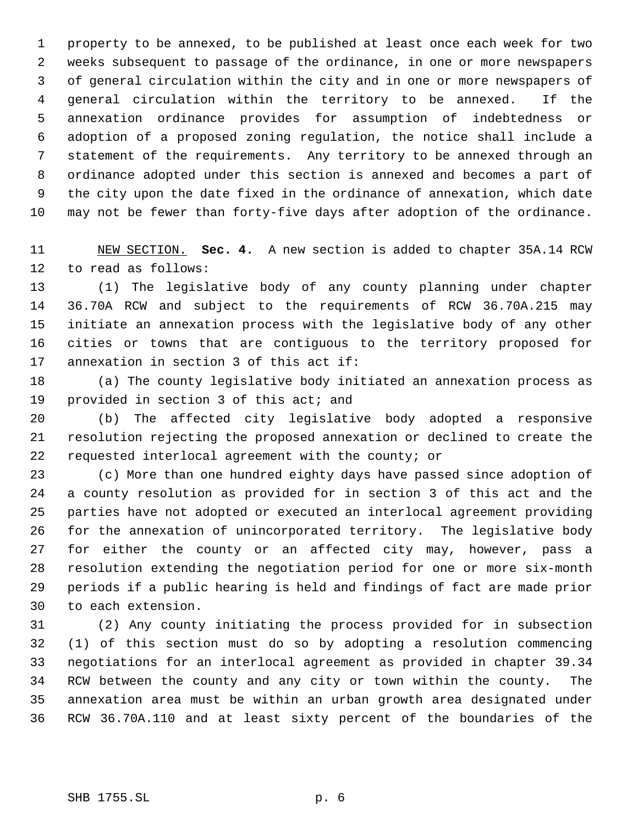property to be annexed, to be published at least once each week for two weeks subsequent to passage of the ordinance, in one or more newspapers of general circulation within the city and in one or more newspapers of general circulation within the territory to be annexed. If the annexation ordinance provides for assumption of indebtedness or adoption of a proposed zoning regulation, the notice shall include a statement of the requirements. Any territory to be annexed through an ordinance adopted under this section is annexed and becomes a part of the city upon the date fixed in the ordinance of annexation, which date may not be fewer than forty-five days after adoption of the ordinance.

 NEW SECTION. **Sec. 4.** A new section is added to chapter 35A.14 RCW to read as follows:

 (1) The legislative body of any county planning under chapter 36.70A RCW and subject to the requirements of RCW 36.70A.215 may initiate an annexation process with the legislative body of any other cities or towns that are contiguous to the territory proposed for annexation in section 3 of this act if:

 (a) The county legislative body initiated an annexation process as provided in section 3 of this act; and

 (b) The affected city legislative body adopted a responsive resolution rejecting the proposed annexation or declined to create the requested interlocal agreement with the county; or

 (c) More than one hundred eighty days have passed since adoption of a county resolution as provided for in section 3 of this act and the parties have not adopted or executed an interlocal agreement providing for the annexation of unincorporated territory. The legislative body for either the county or an affected city may, however, pass a resolution extending the negotiation period for one or more six-month periods if a public hearing is held and findings of fact are made prior to each extension.

 (2) Any county initiating the process provided for in subsection (1) of this section must do so by adopting a resolution commencing negotiations for an interlocal agreement as provided in chapter 39.34 RCW between the county and any city or town within the county. The annexation area must be within an urban growth area designated under RCW 36.70A.110 and at least sixty percent of the boundaries of the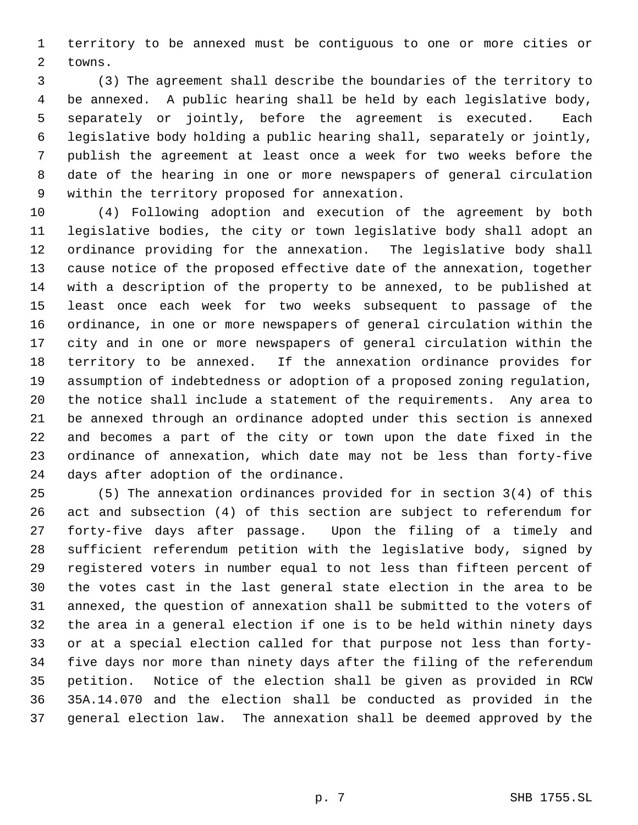territory to be annexed must be contiguous to one or more cities or towns.

 (3) The agreement shall describe the boundaries of the territory to be annexed. A public hearing shall be held by each legislative body, separately or jointly, before the agreement is executed. Each legislative body holding a public hearing shall, separately or jointly, publish the agreement at least once a week for two weeks before the date of the hearing in one or more newspapers of general circulation within the territory proposed for annexation.

 (4) Following adoption and execution of the agreement by both legislative bodies, the city or town legislative body shall adopt an ordinance providing for the annexation. The legislative body shall cause notice of the proposed effective date of the annexation, together with a description of the property to be annexed, to be published at least once each week for two weeks subsequent to passage of the ordinance, in one or more newspapers of general circulation within the city and in one or more newspapers of general circulation within the territory to be annexed. If the annexation ordinance provides for assumption of indebtedness or adoption of a proposed zoning regulation, the notice shall include a statement of the requirements. Any area to be annexed through an ordinance adopted under this section is annexed and becomes a part of the city or town upon the date fixed in the ordinance of annexation, which date may not be less than forty-five days after adoption of the ordinance.

 (5) The annexation ordinances provided for in section 3(4) of this act and subsection (4) of this section are subject to referendum for forty-five days after passage. Upon the filing of a timely and sufficient referendum petition with the legislative body, signed by registered voters in number equal to not less than fifteen percent of the votes cast in the last general state election in the area to be annexed, the question of annexation shall be submitted to the voters of the area in a general election if one is to be held within ninety days or at a special election called for that purpose not less than forty- five days nor more than ninety days after the filing of the referendum petition. Notice of the election shall be given as provided in RCW 35A.14.070 and the election shall be conducted as provided in the general election law. The annexation shall be deemed approved by the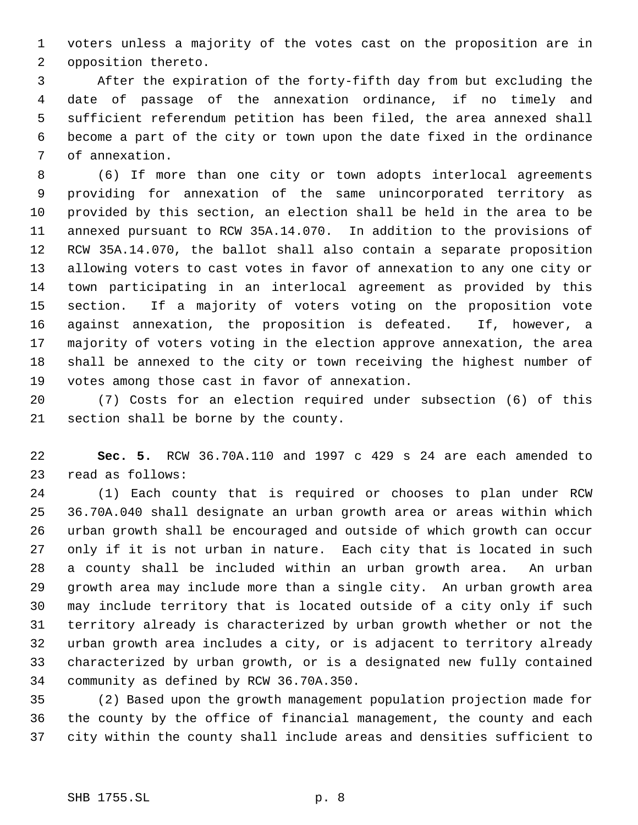voters unless a majority of the votes cast on the proposition are in opposition thereto.

 After the expiration of the forty-fifth day from but excluding the date of passage of the annexation ordinance, if no timely and sufficient referendum petition has been filed, the area annexed shall become a part of the city or town upon the date fixed in the ordinance of annexation.

 (6) If more than one city or town adopts interlocal agreements providing for annexation of the same unincorporated territory as provided by this section, an election shall be held in the area to be annexed pursuant to RCW 35A.14.070. In addition to the provisions of RCW 35A.14.070, the ballot shall also contain a separate proposition allowing voters to cast votes in favor of annexation to any one city or town participating in an interlocal agreement as provided by this section. If a majority of voters voting on the proposition vote against annexation, the proposition is defeated. If, however, a majority of voters voting in the election approve annexation, the area shall be annexed to the city or town receiving the highest number of votes among those cast in favor of annexation.

 (7) Costs for an election required under subsection (6) of this section shall be borne by the county.

 **Sec. 5.** RCW 36.70A.110 and 1997 c 429 s 24 are each amended to read as follows:

 (1) Each county that is required or chooses to plan under RCW 36.70A.040 shall designate an urban growth area or areas within which urban growth shall be encouraged and outside of which growth can occur only if it is not urban in nature. Each city that is located in such a county shall be included within an urban growth area. An urban growth area may include more than a single city. An urban growth area may include territory that is located outside of a city only if such territory already is characterized by urban growth whether or not the urban growth area includes a city, or is adjacent to territory already characterized by urban growth, or is a designated new fully contained community as defined by RCW 36.70A.350.

 (2) Based upon the growth management population projection made for the county by the office of financial management, the county and each city within the county shall include areas and densities sufficient to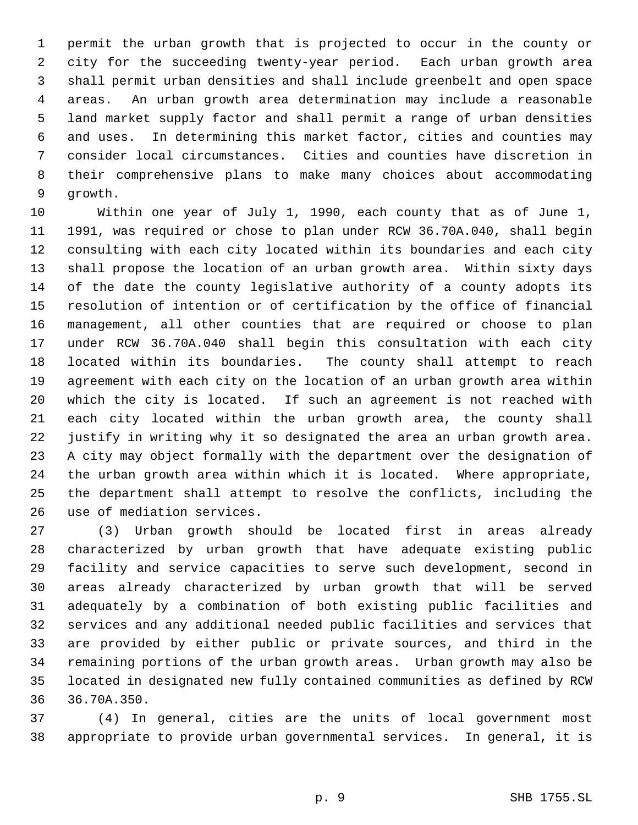permit the urban growth that is projected to occur in the county or city for the succeeding twenty-year period. Each urban growth area shall permit urban densities and shall include greenbelt and open space areas. An urban growth area determination may include a reasonable land market supply factor and shall permit a range of urban densities and uses. In determining this market factor, cities and counties may consider local circumstances. Cities and counties have discretion in their comprehensive plans to make many choices about accommodating growth.

 Within one year of July 1, 1990, each county that as of June 1, 1991, was required or chose to plan under RCW 36.70A.040, shall begin consulting with each city located within its boundaries and each city shall propose the location of an urban growth area. Within sixty days of the date the county legislative authority of a county adopts its resolution of intention or of certification by the office of financial management, all other counties that are required or choose to plan under RCW 36.70A.040 shall begin this consultation with each city located within its boundaries. The county shall attempt to reach agreement with each city on the location of an urban growth area within which the city is located. If such an agreement is not reached with each city located within the urban growth area, the county shall justify in writing why it so designated the area an urban growth area. A city may object formally with the department over the designation of the urban growth area within which it is located. Where appropriate, the department shall attempt to resolve the conflicts, including the use of mediation services.

 (3) Urban growth should be located first in areas already characterized by urban growth that have adequate existing public facility and service capacities to serve such development, second in areas already characterized by urban growth that will be served adequately by a combination of both existing public facilities and services and any additional needed public facilities and services that are provided by either public or private sources, and third in the remaining portions of the urban growth areas. Urban growth may also be located in designated new fully contained communities as defined by RCW 36.70A.350.

 (4) In general, cities are the units of local government most appropriate to provide urban governmental services. In general, it is